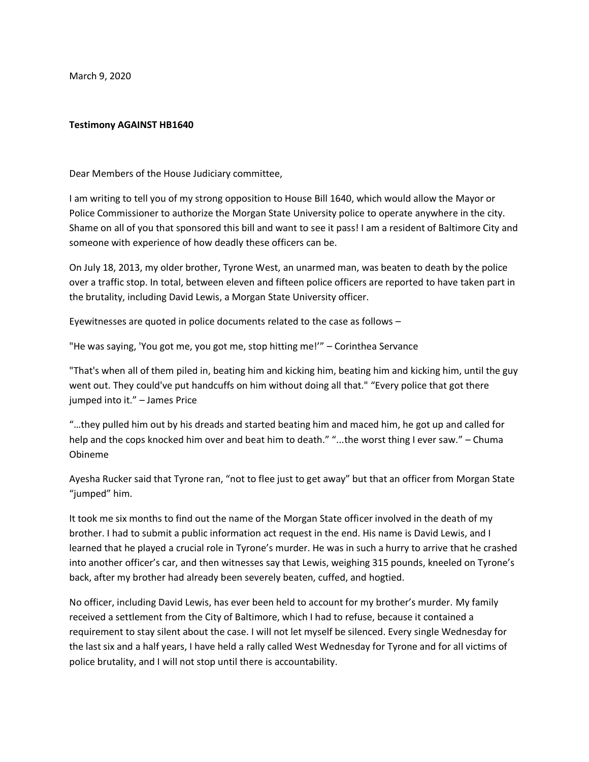March 9, 2020

## **Testimony AGAINST HB1640**

Dear Members of the House Judiciary committee,

I am writing to tell you of my strong opposition to House Bill 1640, which would allow the Mayor or Police Commissioner to authorize the Morgan State University police to operate anywhere in the city. Shame on all of you that sponsored this bill and want to see it pass! I am a resident of Baltimore City and someone with experience of how deadly these officers can be.

On July 18, 2013, my older brother, Tyrone West, an unarmed man, was beaten to death by the police over a traffic stop. In total, between eleven and fifteen police officers are reported to have taken part in the brutality, including David Lewis, a Morgan State University officer.

Eyewitnesses are quoted in police documents related to the case as follows –

"He was saying, 'You got me, you got me, stop hitting me!'" – Corinthea Servance

"That's when all of them piled in, beating him and kicking him, beating him and kicking him, until the guy went out. They could've put handcuffs on him without doing all that." "Every police that got there jumped into it." – James Price

"…they pulled him out by his dreads and started beating him and maced him, he got up and called for help and the cops knocked him over and beat him to death." "...the worst thing I ever saw." – Chuma Obineme

Ayesha Rucker said that Tyrone ran, "not to flee just to get away" but that an officer from Morgan State "jumped" him.

It took me six months to find out the name of the Morgan State officer involved in the death of my brother. I had to submit a public information act request in the end. His name is David Lewis, and I learned that he played a crucial role in Tyrone's murder. He was in such a hurry to arrive that he crashed into another officer's car, and then witnesses say that Lewis, weighing 315 pounds, kneeled on Tyrone's back, after my brother had already been severely beaten, cuffed, and hogtied.

No officer, including David Lewis, has ever been held to account for my brother's murder. My family received a settlement from the City of Baltimore, which I had to refuse, because it contained a requirement to stay silent about the case. I will not let myself be silenced. Every single Wednesday for the last six and a half years, I have held a rally called West Wednesday for Tyrone and for all victims of police brutality, and I will not stop until there is accountability.